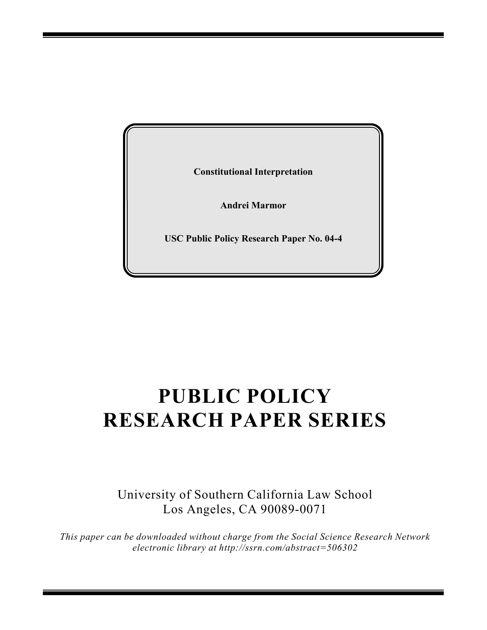**Constitutional Interpretation**

**Andrei Marmor**

**USC Public Policy Research Paper No. 04-4**

# **PUBLIC POLICY RESEARCH PAPER SERIES**

University of Southern California Law School Los Angeles, CA 90089-0071

*This paper can be downloaded without charge from the Social Science Research Network electronic library at http://ssrn.com/abstract=506302*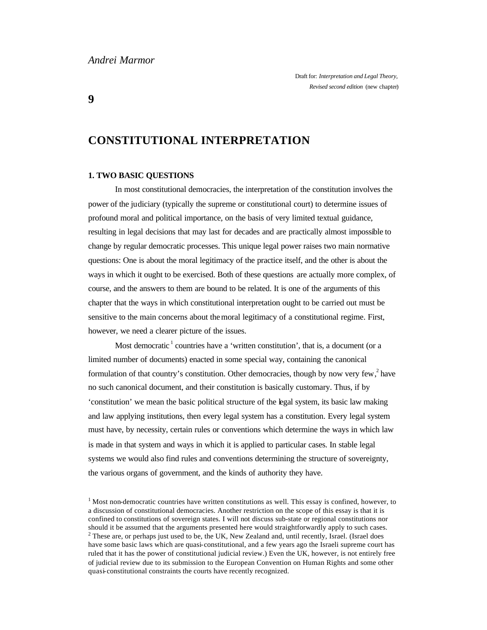**9**

# **CONSTITUTIONAL INTERPRETATION**

# **1. TWO BASIC QUESTIONS**

In most constitutional democracies, the interpretation of the constitution involves the power of the judiciary (typically the supreme or constitutional court) to determine issues of profound moral and political importance, on the basis of very limited textual guidance, resulting in legal decisions that may last for decades and are practically almost impossible to change by regular democratic processes. This unique legal power raises two main normative questions: One is about the moral legitimacy of the practice itself, and the other is about the ways in which it ought to be exercised. Both of these questions are actually more complex, of course, and the answers to them are bound to be related. It is one of the arguments of this chapter that the ways in which constitutional interpretation ought to be carried out must be sensitive to the main concerns about the moral legitimacy of a constitutional regime. First, however, we need a clearer picture of the issues.

Most democratic  $\frac{1}{2}$  countries have a 'written constitution', that is, a document (or a limited number of documents) enacted in some special way, containing the canonical formulation of that country's constitution. Other democracies, though by now very few, $\lambda$  have no such canonical document, and their constitution is basically customary. Thus, if by 'constitution' we mean the basic political structure of the legal system, its basic law making and law applying institutions, then every legal system has a constitution. Every legal system must have, by necessity, certain rules or conventions which determine the ways in which law is made in that system and ways in which it is applied to particular cases. In stable legal systems we would also find rules and conventions determining the structure of sovereignty, the various organs of government, and the kinds of authority they have.

<sup>&</sup>lt;sup>1</sup> Most non-democratic countries have written constitutions as well. This essay is confined, however, to a discussion of constitutional democracies. Another restriction on the scope of this essay is that it is confined to constitutions of sovereign states. I will not discuss sub-state or regional constitutions nor should it be assumed that the arguments presented here would straightforwardly apply to such cases.  $2$  These are, or perhaps just used to be, the UK, New Zealand and, until recently, Israel. (Israel does have some basic laws which are quasi-constitutional, and a few years ago the Israeli supreme court has ruled that it has the power of constitutional judicial review.) Even the UK, however, is not entirely free of judicial review due to its submission to the European Convention on Human Rights and some other quasi-constitutional constraints the courts have recently recognized.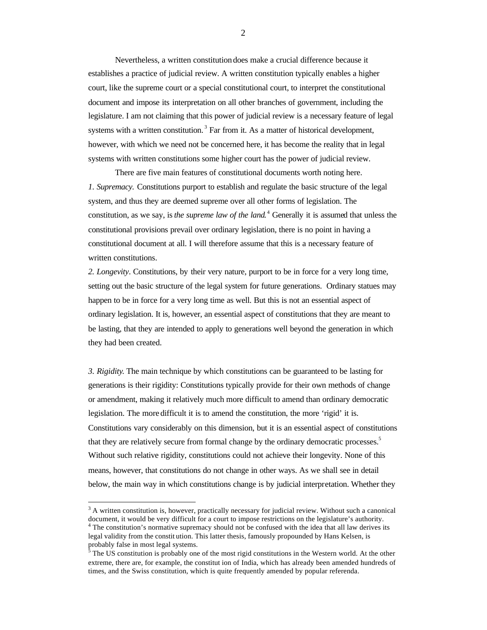Nevertheless, a written constitution does make a crucial difference because it establishes a practice of judicial review. A written constitution typically enables a higher court, like the supreme court or a special constitutional court, to interpret the constitutional document and impose its interpretation on all other branches of government, including the legislature. I am not claiming that this power of judicial review is a necessary feature of legal systems with a written constitution.<sup>3</sup> Far from it. As a matter of historical development, however, with which we need not be concerned here, it has become the reality that in legal systems with written constitutions some higher court has the power of judicial review.

There are five main features of constitutional documents worth noting here. *1. Supremacy.* Constitutions purport to establish and regulate the basic structure of the legal system, and thus they are deemed supreme over all other forms of legislation. The constitution, as we say, is *the supreme law of the land*. 4 Generally it is assumed that unless the constitutional provisions prevail over ordinary legislation, there is no point in having a constitutional document at all. I will therefore assume that this is a necessary feature of written constitutions.

*2. Longevity*. Constitutions, by their very nature, purport to be in force for a very long time, setting out the basic structure of the legal system for future generations. Ordinary statues may happen to be in force for a very long time as well. But this is not an essential aspect of ordinary legislation. It is, however, an essential aspect of constitutions that they are meant to be lasting, that they are intended to apply to generations well beyond the generation in which they had been created.

*3. Rigidity*. The main technique by which constitutions can be guaranteed to be lasting for generations is their rigidity: Constitutions typically provide for their own methods of change or amendment, making it relatively much more difficult to amend than ordinary democratic legislation. The more difficult it is to amend the constitution, the more 'rigid' it is. Constitutions vary considerably on this dimension, but it is an essential aspect of constitutions that they are relatively secure from formal change by the ordinary democratic processes.<sup>5</sup> Without such relative rigidity, constitutions could not achieve their longevity. None of this means, however, that constitutions do not change in other ways. As we shall see in detail below, the main way in which constitutions change is by judicial interpretation. Whether they

 $\overline{a}$ 

 $3A$  written constitution is, however, practically necessary for judicial review. Without such a canonical document, it would be very difficult for a court to impose restrictions on the legislature's authority. <sup>4</sup> The constitution's normative supremacy should not be confused with the idea that all law derives its legal validity from the constit ution. This latter thesis, famously propounded by Hans Kelsen, is probably false in most legal systems.

<sup>5</sup> The US constitution is probably one of the most rigid constitutions in the Western world. At the other extreme, there are, for example, the constitut ion of India, which has already been amended hundreds of times, and the Swiss constitution, which is quite frequently amended by popular referenda.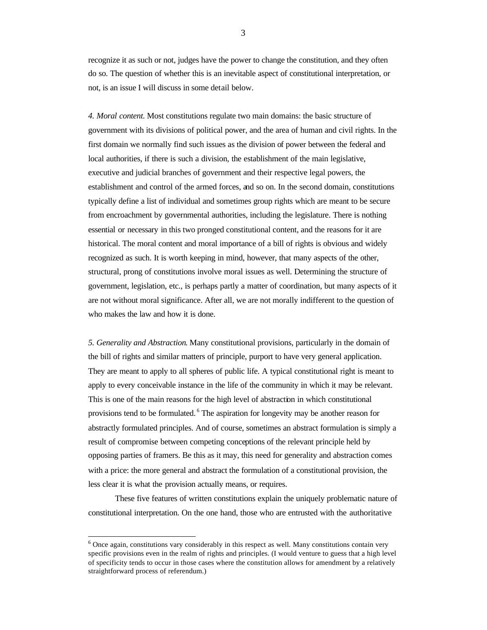recognize it as such or not, judges have the power to change the constitution, and they often do so. The question of whether this is an inevitable aspect of constitutional interpretation, or not, is an issue I will discuss in some detail below.

*4. Moral content.* Most constitutions regulate two main domains: the basic structure of government with its divisions of political power, and the area of human and civil rights. In the first domain we normally find such issues as the division of power between the federal and local authorities, if there is such a division, the establishment of the main legislative, executive and judicial branches of government and their respective legal powers, the establishment and control of the armed forces, and so on. In the second domain, constitutions typically define a list of individual and sometimes group rights which are meant to be secure from encroachment by governmental authorities, including the legislature. There is nothing essential or necessary in this two pronged constitutional content, and the reasons for it are historical. The moral content and moral importance of a bill of rights is obvious and widely recognized as such. It is worth keeping in mind, however, that many aspects of the other, structural, prong of constitutions involve moral issues as well. Determining the structure of government, legislation, etc., is perhaps partly a matter of coordination, but many aspects of it are not without moral significance. After all, we are not morally indifferent to the question of who makes the law and how it is done.

*5. Generality and Abstraction*. Many constitutional provisions, particularly in the domain of the bill of rights and similar matters of principle, purport to have very general application. They are meant to apply to all spheres of public life. A typical constitutional right is meant to apply to every conceivable instance in the life of the community in which it may be relevant. This is one of the main reasons for the high level of abstraction in which constitutional provisions tend to be formulated. <sup>6</sup> The aspiration for longevity may be another reason for abstractly formulated principles. And of course, sometimes an abstract formulation is simply a result of compromise between competing conceptions of the relevant principle held by opposing parties of framers. Be this as it may, this need for generality and abstraction comes with a price: the more general and abstract the formulation of a constitutional provision, the less clear it is what the provision actually means, or requires.

These five features of written constitutions explain the uniquely problematic nature of constitutional interpretation. On the one hand, those who are entrusted with the authoritative

 $\overline{a}$ 

<sup>&</sup>lt;sup>6</sup> Once again, constitutions vary considerably in this respect as well. Many constitutions contain very specific provisions even in the realm of rights and principles. (I would venture to guess that a high level of specificity tends to occur in those cases where the constitution allows for amendment by a relatively straightforward process of referendum.)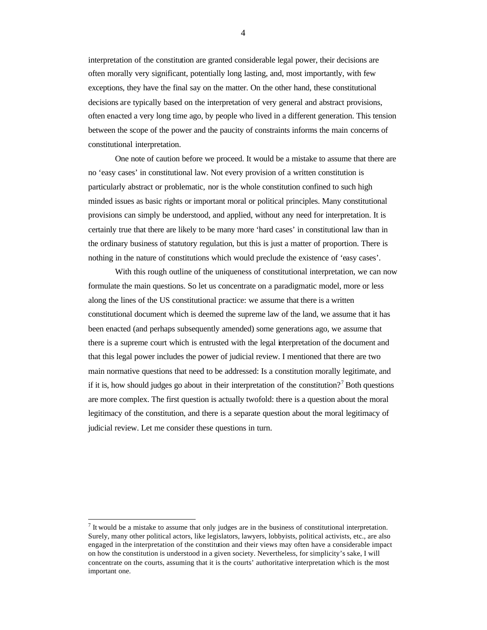interpretation of the constitution are granted considerable legal power, their decisions are often morally very significant, potentially long lasting, and, most importantly, with few exceptions, they have the final say on the matter. On the other hand, these constitutional decisions are typically based on the interpretation of very general and abstract provisions, often enacted a very long time ago, by people who lived in a different generation. This tension between the scope of the power and the paucity of constraints informs the main concerns of constitutional interpretation.

One note of caution before we proceed. It would be a mistake to assume that there are no 'easy cases' in constitutional law. Not every provision of a written constitution is particularly abstract or problematic, nor is the whole constitution confined to such high minded issues as basic rights or important moral or political principles. Many constitutional provisions can simply be understood, and applied, without any need for interpretation. It is certainly true that there are likely to be many more 'hard cases' in constitutional law than in the ordinary business of statutory regulation, but this is just a matter of proportion. There is nothing in the nature of constitutions which would preclude the existence of 'easy cases'.

With this rough outline of the uniqueness of constitutional interpretation, we can now formulate the main questions. So let us concentrate on a paradigmatic model, more or less along the lines of the US constitutional practice: we assume that there is a written constitutional document which is deemed the supreme law of the land, we assume that it has been enacted (and perhaps subsequently amended) some generations ago, we assume that there is a supreme court which is entrusted with the legal interpretation of the document and that this legal power includes the power of judicial review. I mentioned that there are two main normative questions that need to be addressed: Is a constitution morally legitimate, and if it is, how should judges go about in their interpretation of the constitution?<sup>7</sup> Both questions are more complex. The first question is actually twofold: there is a question about the moral legitimacy of the constitution, and there is a separate question about the moral legitimacy of judicial review. Let me consider these questions in turn.

 $\overline{a}$ 

 $<sup>7</sup>$  It would be a mistake to assume that only judges are in the business of constitutional interpretation.</sup> Surely, many other political actors, like legislators, lawyers, lobbyists, political activists, etc., are also engaged in the interpretation of the constitution and their views may often have a considerable impact on how the constitution is understood in a given society. Nevertheless, for simplicity's sake, I will concentrate on the courts, assuming that it is the courts' authoritative interpretation which is the most important one.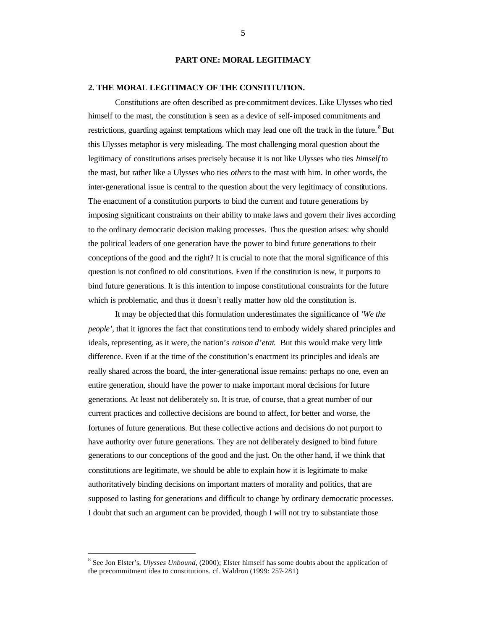# **PART ONE: MORAL LEGITIMACY**

## **2. THE MORAL LEGITIMACY OF THE CONSTITUTION.**

Constitutions are often described as pre-commitment devices. Like Ulysses who tied himself to the mast, the constitution is seen as a device of self-imposed commitments and restrictions, guarding against temptations which may lead one off the track in the future.<sup>8</sup> But this Ulysses metaphor is very misleading. The most challenging moral question about the legitimacy of constitutions arises precisely because it is not like Ulysses who ties *himself* to the mast, but rather like a Ulysses who ties *others* to the mast with him. In other words, the inter-generational issue is central to the question about the very legitimacy of constitutions. The enactment of a constitution purports to bind the current and future generations by imposing significant constraints on their ability to make laws and govern their lives according to the ordinary democratic decision making processes. Thus the question arises: why should the political leaders of one generation have the power to bind future generations to their conceptions of the good and the right? It is crucial to note that the moral significance of this question is not confined to old constitutions. Even if the constitution is new, it purports to bind future generations. It is this intention to impose constitutional constraints for the future which is problematic, and thus it doesn't really matter how old the constitution is.

It may be objected that this formulation underestimates the significance of '*We the people'*, that it ignores the fact that constitutions tend to embody widely shared principles and ideals, representing, as it were, the nation's *raison d'etat*. But this would make very little difference. Even if at the time of the constitution's enactment its principles and ideals are really shared across the board, the inter-generational issue remains: perhaps no one, even an entire generation, should have the power to make important moral decisions for future generations. At least not deliberately so. It is true, of course, that a great number of our current practices and collective decisions are bound to affect, for better and worse, the fortunes of future generations. But these collective actions and decisions do not purport to have authority over future generations. They are not deliberately designed to bind future generations to our conceptions of the good and the just. On the other hand, if we think that constitutions are legitimate, we should be able to explain how it is legitimate to make authoritatively binding decisions on important matters of morality and politics, that are supposed to lasting for generations and difficult to change by ordinary democratic processes. I doubt that such an argument can be provided, though I will not try to substantiate those

 $\overline{\phantom{a}}$ 

<sup>8</sup> See Jon Elster's, *Ulysses Unbound*, (2000); Elster himself has some doubts about the application of the precommitment idea to constitutions. cf. Waldron (1999: 257-281)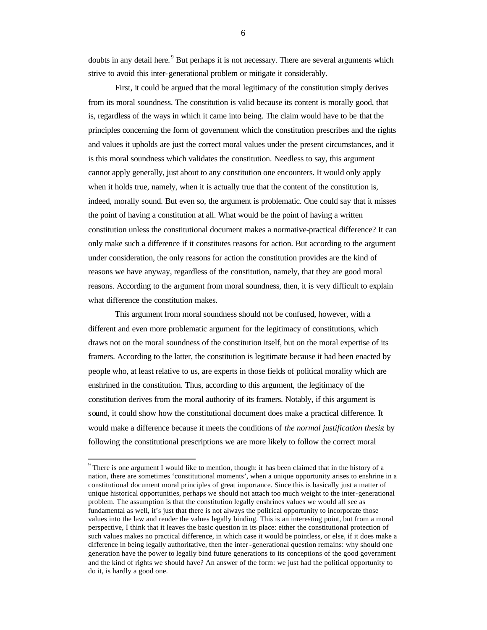doubts in any detail here.<sup>9</sup> But perhaps it is not necessary. There are several arguments which strive to avoid this inter-generational problem or mitigate it considerably.

First, it could be argued that the moral legitimacy of the constitution simply derives from its moral soundness. The constitution is valid because its content is morally good, that is, regardless of the ways in which it came into being. The claim would have to be that the principles concerning the form of government which the constitution prescribes and the rights and values it upholds are just the correct moral values under the present circumstances, and it is this moral soundness which validates the constitution. Needless to say, this argument cannot apply generally, just about to any constitution one encounters. It would only apply when it holds true, namely, when it is actually true that the content of the constitution is, indeed, morally sound. But even so, the argument is problematic. One could say that it misses the point of having a constitution at all. What would be the point of having a written constitution unless the constitutional document makes a normative-practical difference? It can only make such a difference if it constitutes reasons for action. But according to the argument under consideration, the only reasons for action the constitution provides are the kind of reasons we have anyway, regardless of the constitution, namely, that they are good moral reasons. According to the argument from moral soundness, then, it is very difficult to explain what difference the constitution makes.

This argument from moral soundness should not be confused, however, with a different and even more problematic argument for the legitimacy of constitutions, which draws not on the moral soundness of the constitution itself, but on the moral expertise of its framers. According to the latter, the constitution is legitimate because it had been enacted by people who, at least relative to us, are experts in those fields of political morality which are enshrined in the constitution. Thus, according to this argument, the legitimacy of the constitution derives from the moral authority of its framers. Notably, if this argument is sound, it could show how the constitutional document does make a practical difference. It would make a difference because it meets the conditions of *the normal justification thesis*: by following the constitutional prescriptions we are more likely to follow the correct moral

 $\overline{\phantom{a}}$ 

 $9$  There is one argument I would like to mention, though: it has been claimed that in the history of a nation, there are sometimes 'constitutional moments', when a unique opportunity arises to enshrine in a constitutional document moral principles of great importance. Since this is basically just a matter of unique historical opportunities, perhaps we should not attach too much weight to the inter-generational problem. The assumption is that the constitution legally enshrines values we would all see as fundamental as well, it's just that there is not always the political opportunity to incorporate those values into the law and render the values legally binding. This is an interesting point, but from a moral perspective, I think that it leaves the basic question in its place: either the constitutional protection of such values makes no practical difference, in which case it would be pointless, or else, if it does make a difference in being legally authoritative, then the inter -generational question remains: why should one generation have the power to legally bind future generations to its conceptions of the good government and the kind of rights we should have? An answer of the form: we just had the political opportunity to do it, is hardly a good one.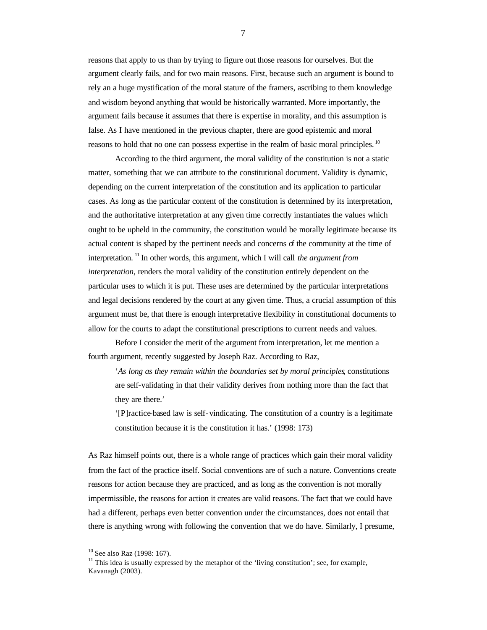reasons that apply to us than by trying to figure out those reasons for ourselves. But the argument clearly fails, and for two main reasons. First, because such an argument is bound to rely an a huge mystification of the moral stature of the framers, ascribing to them knowledge and wisdom beyond anything that would be historically warranted. More importantly, the argument fails because it assumes that there is expertise in morality, and this assumption is false. As I have mentioned in the previous chapter, there are good epistemic and moral reasons to hold that no one can possess expertise in the realm of basic moral principles.<sup>10</sup>

According to the third argument, the moral validity of the constitution is not a static matter, something that we can attribute to the constitutional document. Validity is dynamic, depending on the current interpretation of the constitution and its application to particular cases. As long as the particular content of the constitution is determined by its interpretation, and the authoritative interpretation at any given time correctly instantiates the values which ought to be upheld in the community, the constitution would be morally legitimate because its actual content is shaped by the pertinent needs and concerns of the community at the time of interpretation. <sup>11</sup> In other words, this argument, which I will call *the argument from interpretation*, renders the moral validity of the constitution entirely dependent on the particular uses to which it is put. These uses are determined by the particular interpretations and legal decisions rendered by the court at any given time. Thus, a crucial assumption of this argument must be, that there is enough interpretative flexibility in constitutional documents to allow for the courts to adapt the constitutional prescriptions to current needs and values.

Before I consider the merit of the argument from interpretation, let me mention a fourth argument, recently suggested by Joseph Raz. According to Raz,

'*As long as they remain within the boundaries set by moral principles*, constitutions are self-validating in that their validity derives from nothing more than the fact that they are there.'

'[P]ractice-based law is self-vindicating. The constitution of a country is a legitimate constitution because it is the constitution it has.' (1998: 173)

As Raz himself points out, there is a whole range of practices which gain their moral validity from the fact of the practice itself. Social conventions are of such a nature. Conventions create reasons for action because they are practiced, and as long as the convention is not morally impermissible, the reasons for action it creates are valid reasons. The fact that we could have had a different, perhaps even better convention under the circumstances, does not entail that there is anything wrong with following the convention that we do have. Similarly, I presume,

 $\overline{\phantom{a}}$ 

 $^{10}$  See also Raz (1998: 167).

 $11$  This idea is usually expressed by the metaphor of the 'living constitution'; see, for example, Kavanagh (2003).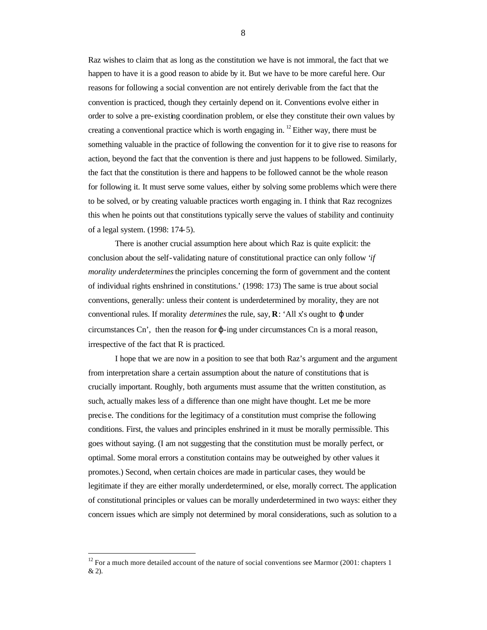Raz wishes to claim that as long as the constitution we have is not immoral, the fact that we happen to have it is a good reason to abide by it. But we have to be more careful here. Our reasons for following a social convention are not entirely derivable from the fact that the convention is practiced, though they certainly depend on it. Conventions evolve either in order to solve a pre-existing coordination problem, or else they constitute their own values by creating a conventional practice which is worth engaging in.  $^{12}$  Either way, there must be something valuable in the practice of following the convention for it to give rise to reasons for action, beyond the fact that the convention is there and just happens to be followed. Similarly, the fact that the constitution is there and happens to be followed cannot be the whole reason for following it. It must serve some values, either by solving some problems which were there to be solved, or by creating valuable practices worth engaging in. I think that Raz recognizes this when he points out that constitutions typically serve the values of stability and continuity of a legal system. (1998: 174-5).

There is another crucial assumption here about which Raz is quite explicit: the conclusion about the self-validating nature of constitutional practice can only follow '*if morality underdetermines* the principles concerning the form of government and the content of individual rights enshrined in constitutions.' (1998: 173) The same is true about social conventions, generally: unless their content is underdetermined by morality, they are not conventional rules. If morality *determines* the rule, say,  $\mathbf{R}$ : 'All x's ought to  $\varphi$  under circumstances Cn', then the reason for  $\varphi$ -ing under circumstances Cn is a moral reason, irrespective of the fact that R is practiced.

I hope that we are now in a position to see that both Raz's argument and the argument from interpretation share a certain assumption about the nature of constitutions that is crucially important. Roughly, both arguments must assume that the written constitution, as such, actually makes less of a difference than one might have thought. Let me be more precis e. The conditions for the legitimacy of a constitution must comprise the following conditions. First, the values and principles enshrined in it must be morally permissible. This goes without saying. (I am not suggesting that the constitution must be morally perfect, or optimal. Some moral errors a constitution contains may be outweighed by other values it promotes.) Second, when certain choices are made in particular cases, they would be legitimate if they are either morally underdetermined, or else, morally correct. The application of constitutional principles or values can be morally underdetermined in two ways: either they concern issues which are simply not determined by moral considerations, such as solution to a

 $\overline{\phantom{a}}$ 

 $12$  For a much more detailed account of the nature of social conventions see Marmor (2001: chapters 1 & 2).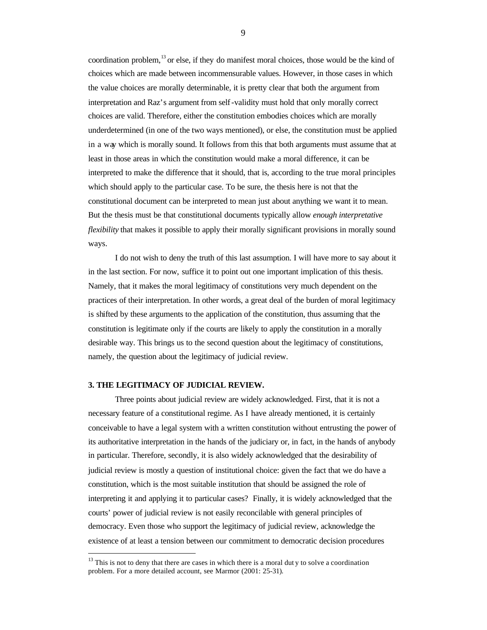coordination problem,<sup>13</sup> or else, if they do manifest moral choices, those would be the kind of choices which are made between incommensurable values. However, in those cases in which the value choices are morally determinable, it is pretty clear that both the argument from interpretation and Raz's argument from self-validity must hold that only morally correct choices are valid. Therefore, either the constitution embodies choices which are morally underdetermined (in one of the two ways mentioned), or else, the constitution must be applied in a way which is morally sound. It follows from this that both arguments must assume that at least in those areas in which the constitution would make a moral difference, it can be interpreted to make the difference that it should, that is, according to the true moral principles which should apply to the particular case. To be sure, the thesis here is not that the constitutional document can be interpreted to mean just about anything we want it to mean. But the thesis must be that constitutional documents typically allow *enough interpretative flexibility* that makes it possible to apply their morally significant provisions in morally sound ways.

I do not wish to deny the truth of this last assumption. I will have more to say about it in the last section. For now, suffice it to point out one important implication of this thesis. Namely, that it makes the moral legitimacy of constitutions very much dependent on the practices of their interpretation. In other words, a great deal of the burden of moral legitimacy is shifted by these arguments to the application of the constitution, thus assuming that the constitution is legitimate only if the courts are likely to apply the constitution in a morally desirable way. This brings us to the second question about the legitimacy of constitutions, namely, the question about the legitimacy of judicial review.

# **3. THE LEGITIMACY OF JUDICIAL REVIEW.**

 $\overline{\phantom{a}}$ 

Three points about judicial review are widely acknowledged. First, that it is not a necessary feature of a constitutional regime. As I have already mentioned, it is certainly conceivable to have a legal system with a written constitution without entrusting the power of its authoritative interpretation in the hands of the judiciary or, in fact, in the hands of anybody in particular. Therefore, secondly, it is also widely acknowledged that the desirability of judicial review is mostly a question of institutional choice: given the fact that we do have a constitution, which is the most suitable institution that should be assigned the role of interpreting it and applying it to particular cases? Finally, it is widely acknowledged that the courts' power of judicial review is not easily reconcilable with general principles of democracy. Even those who support the legitimacy of judicial review, acknowledge the existence of at least a tension between our commitment to democratic decision procedures

 $13$  This is not to deny that there are cases in which there is a moral dut y to solve a coordination problem. For a more detailed account, see Marmor (2001: 25-31).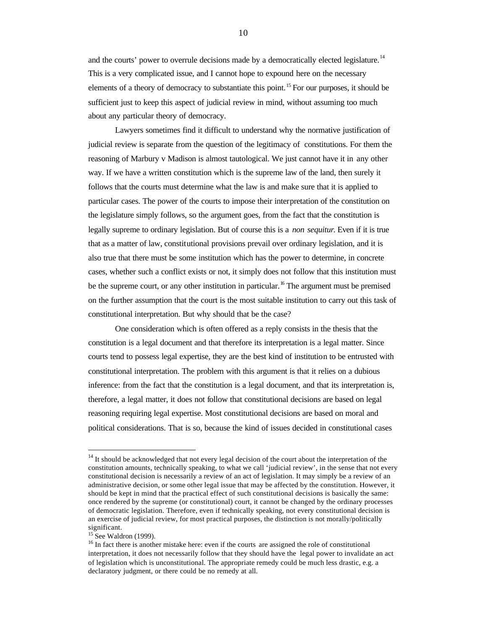and the courts' power to overrule decisions made by a democratically elected legislature.<sup>14</sup> This is a very complicated issue, and I cannot hope to expound here on the necessary elements of a theory of democracy to substantiate this point.<sup>15</sup> For our purposes, it should be sufficient just to keep this aspect of judicial review in mind, without assuming too much about any particular theory of democracy.

Lawyers sometimes find it difficult to understand why the normative justification of judicial review is separate from the question of the legitimacy of constitutions. For them the reasoning of Marbury v Madison is almost tautological. We just cannot have it in any other way. If we have a written constitution which is the supreme law of the land, then surely it follows that the courts must determine what the law is and make sure that it is applied to particular cases. The power of the courts to impose their interpretation of the constitution on the legislature simply follows, so the argument goes, from the fact that the constitution is legally supreme to ordinary legislation. But of course this is a *non sequitur*. Even if it is true that as a matter of law, constitutional provisions prevail over ordinary legislation, and it is also true that there must be some institution which has the power to determine, in concrete cases, whether such a conflict exists or not, it simply does not follow that this institution must be the supreme court, or any other institution in particular.<sup>16</sup> The argument must be premised on the further assumption that the court is the most suitable institution to carry out this task of constitutional interpretation. But why should that be the case?

One consideration which is often offered as a reply consists in the thesis that the constitution is a legal document and that therefore its interpretation is a legal matter. Since courts tend to possess legal expertise, they are the best kind of institution to be entrusted with constitutional interpretation. The problem with this argument is that it relies on a dubious inference: from the fact that the constitution is a legal document, and that its interpretation is, therefore, a legal matter, it does not follow that constitutional decisions are based on legal reasoning requiring legal expertise. Most constitutional decisions are based on moral and political considerations. That is so, because the kind of issues decided in constitutional cases

 $\overline{\phantom{a}}$ 

<sup>&</sup>lt;sup>14</sup> It should be acknowledged that not every legal decision of the court about the interpretation of the constitution amounts, technically speaking, to what we call 'judicial review', in the sense that not every constitutional decision is necessarily a review of an act of legislation. It may simply be a review of an administrative decision, or some other legal issue that may be affected by the constitution. However, it should be kept in mind that the practical effect of such constitutional decisions is basically the same: once rendered by the supreme (or constitutional) court, it cannot be changed by the ordinary processes of democratic legislation. Therefore, even if technically speaking, not every constitutional decision is an exercise of judicial review, for most practical purposes, the distinction is not morally/politically significant.

<sup>&</sup>lt;sup>15</sup> See Waldron (1999).

<sup>&</sup>lt;sup>16</sup> In fact there is another mistake here: even if the courts are assigned the role of constitutional interpretation, it does not necessarily follow that they should have the legal power to invalidate an act of legislation which is unconstitutional. The appropriate remedy could be much less drastic, e.g. a declaratory judgment, or there could be no remedy at all.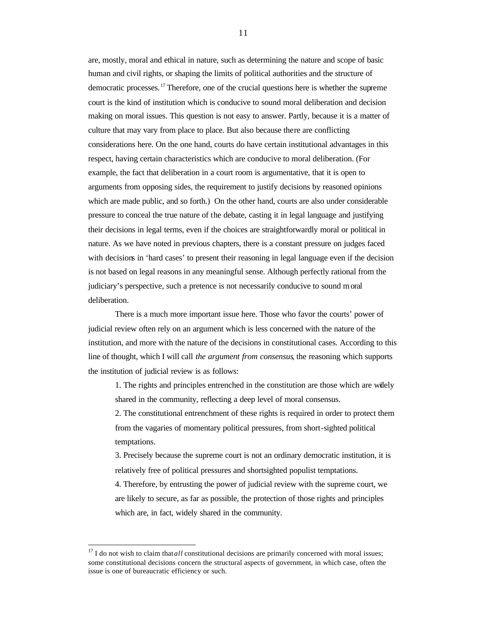are, mostly, moral and ethical in nature, such as determining the nature and scope of basic human and civil rights, or shaping the limits of political authorities and the structure of democratic processes.<sup>17</sup> Therefore, one of the crucial questions here is whether the supreme court is the kind of institution which is conducive to sound moral deliberation and decision making on moral issues. This question is not easy to answer. Partly, because it is a matter of culture that may vary from place to place. But also because there are conflicting considerations here. On the one hand, courts do have certain institutional advantages in this respect, having certain characteristics which are conducive to moral deliberation. (For example, the fact that deliberation in a court room is argumentative, that it is open to arguments from opposing sides, the requirement to justify decisions by reasoned opinions which are made public, and so forth.) On the other hand, courts are also under considerable pressure to conceal the true nature of the debate, casting it in legal language and justifying their decisions in legal terms, even if the choices are straightforwardly moral or political in nature. As we have noted in previous chapters, there is a constant pressure on judges faced with decisions in 'hard cases' to present their reasoning in legal language even if the decision is not based on legal reasons in any meaningful sense. Although perfectly rational from the judiciary's perspective, such a pretence is not necessarily conducive to sound moral deliberation.

There is a much more important issue here. Those who favor the courts' power of judicial review often rely on an argument which is less concerned with the nature of the institution, and more with the nature of the decisions in constitutional cases. According to this line of thought, which I will call *the argument from consensus*, the reasoning which supports the institution of judicial review is as follows:

1. The rights and principles entrenched in the constitution are those which are widely shared in the community, reflecting a deep level of moral consensus.

2. The constitutional entrenchment of these rights is required in order to protect them from the vagaries of momentary political pressures, from short-sighted political temptations.

3. Precisely because the supreme court is not an ordinary democratic institution, it is relatively free of political pressures and shortsighted populist temptations.

4. Therefore, by entrusting the power of judicial review with the supreme court, we are likely to secure, as far as possible, the protection of those rights and principles which are, in fact, widely shared in the community.

 $\overline{\phantom{a}}$ 

<sup>&</sup>lt;sup>17</sup> I do not wish to claim that *all* constitutional decisions are primarily concerned with moral issues; some constitutional decisions concern the structural aspects of government, in which case, often the issue is one of bureaucratic efficiency or such.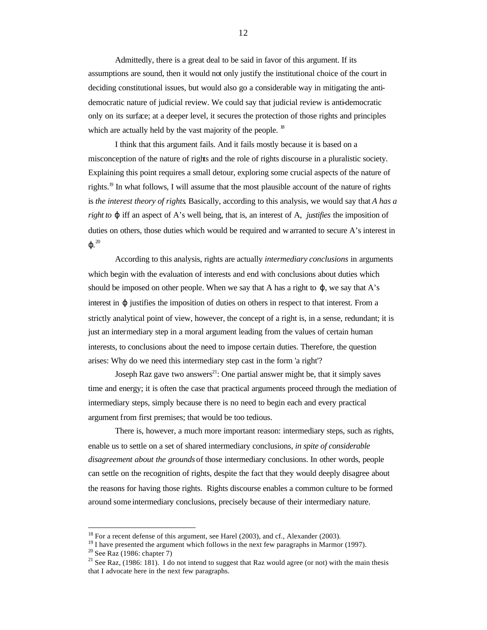Admittedly, there is a great deal to be said in favor of this argument. If its assumptions are sound, then it would not only justify the institutional choice of the court in deciding constitutional issues, but would also go a considerable way in mitigating the antidemocratic nature of judicial review. We could say that judicial review is anti-democratic only on its surface; at a deeper level, it secures the protection of those rights and principles which are actually held by the vast majority of the people.  $18$ 

I think that this argument fails. And it fails mostly because it is based on a misconception of the nature of rights and the role of rights discourse in a pluralistic society. Explaining this point requires a small detour, exploring some crucial aspects of the nature of rights.<sup>19</sup> In what follows, I will assume that the most plausible account of the nature of rights is *the interest theory of rights*. Basically, according to this analysis, we would say that *A has a right to j* iff an aspect of A's well being, that is, an interest of A, *justifies* the imposition of duties on others, those duties which would be required and warranted to secure A's interest in  $φ. 20$ 

According to this analysis, rights are actually *intermediary conclusions* in arguments which begin with the evaluation of interests and end with conclusions about duties which should be imposed on other people. When we say that A has a right to  $\varphi$ , we say that A's interest in  $\varphi$  justifies the imposition of duties on others in respect to that interest. From a strictly analytical point of view, however, the concept of a right is, in a sense, redundant; it is just an intermediary step in a moral argument leading from the values of certain human interests, to conclusions about the need to impose certain duties. Therefore, the question arises: Why do we need this intermediary step cast in the form 'a right'?

Joseph Raz gave two answers<sup>21</sup>: One partial answer might be, that it simply saves time and energy; it is often the case that practical arguments proceed through the mediation of intermediary steps, simply because there is no need to begin each and every practical argument from first premises; that would be too tedious.

There is, however, a much more important reason: intermediary steps, such as rights, enable us to settle on a set of shared intermediary conclusions, *in spite of considerable disagreement about the grounds* of those intermediary conclusions. In other words, people can settle on the recognition of rights, despite the fact that they would deeply disagree about the reasons for having those rights. Rights discourse enables a common culture to be formed around some intermediary conclusions, precisely because of their intermediary nature.

 $\overline{a}$ 

<sup>&</sup>lt;sup>18</sup> For a recent defense of this argument, see Harel (2003), and cf., Alexander (2003).

<sup>&</sup>lt;sup>19</sup> I have presented the argument which follows in the next few paragraphs in Marmor (1997).

 $20$  See Raz (1986: chapter 7)

<sup>&</sup>lt;sup>21</sup> See Raz, (1986: 181). I do not intend to suggest that Raz would agree (or not) with the main thesis that I advocate here in the next few paragraphs.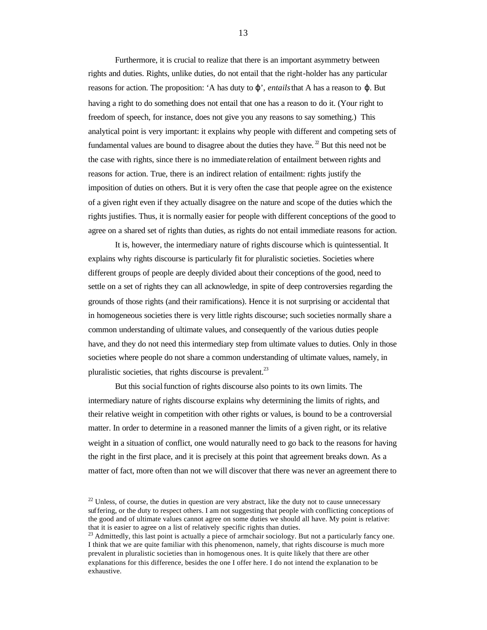Furthermore, it is crucial to realize that there is an important asymmetry between rights and duties. Rights, unlike duties, do not entail that the right-holder has any particular reasons for action. The proposition: 'A has duty to  $\varphi$ ', *entails* that A has a reason to  $\varphi$ . But having a right to do something does not entail that one has a reason to do it. (Your right to freedom of speech, for instance, does not give you any reasons to say something.) This analytical point is very important: it explains why people with different and competing sets of fundamental values are bound to disagree about the duties they have.<sup> $2$ </sup> But this need not be the case with rights, since there is no immediate relation of entailment between rights and reasons for action. True, there is an indirect relation of entailment: rights justify the imposition of duties on others. But it is very often the case that people agree on the existence of a given right even if they actually disagree on the nature and scope of the duties which the rights justifies. Thus, it is normally easier for people with different conceptions of the good to agree on a shared set of rights than duties, as rights do not entail immediate reasons for action.

It is, however, the intermediary nature of rights discourse which is quintessential. It explains why rights discourse is particularly fit for pluralistic societies. Societies where different groups of people are deeply divided about their conceptions of the good, need to settle on a set of rights they can all acknowledge, in spite of deep controversies regarding the grounds of those rights (and their ramifications). Hence it is not surprising or accidental that in homogeneous societies there is very little rights discourse; such societies normally share a common understanding of ultimate values, and consequently of the various duties people have, and they do not need this intermediary step from ultimate values to duties. Only in those societies where people do not share a common understanding of ultimate values, namely, in pluralistic societies, that rights discourse is prevalent.<sup>23</sup>

But this social function of rights discourse also points to its own limits. The intermediary nature of rights discourse explains why determining the limits of rights, and their relative weight in competition with other rights or values, is bound to be a controversial matter. In order to determine in a reasoned manner the limits of a given right, or its relative weight in a situation of conflict, one would naturally need to go back to the reasons for having the right in the first place, and it is precisely at this point that agreement breaks down. As a matter of fact, more often than not we will discover that there was never an agreement there to

 $2<sup>22</sup>$  Unless, of course, the duties in question are very abstract, like the duty not to cause unnecessary suffering, or the duty to respect others. I am not suggesting that people with conflicting conceptions of the good and of ultimate values cannot agree on some duties we should all have. My point is relative: that it is easier to agree on a list of relatively specific rights than duties.

<sup>&</sup>lt;sup>23</sup> Admittedly, this last point is actually a piece of armchair sociology. But not a particularly fancy one. I think that we are quite familiar with this phenomenon, namely, that rights discourse is much more prevalent in pluralistic societies than in homogenous ones. It is quite likely that there are other explanations for this difference, besides the one I offer here. I do not intend the explanation to be exhaustive.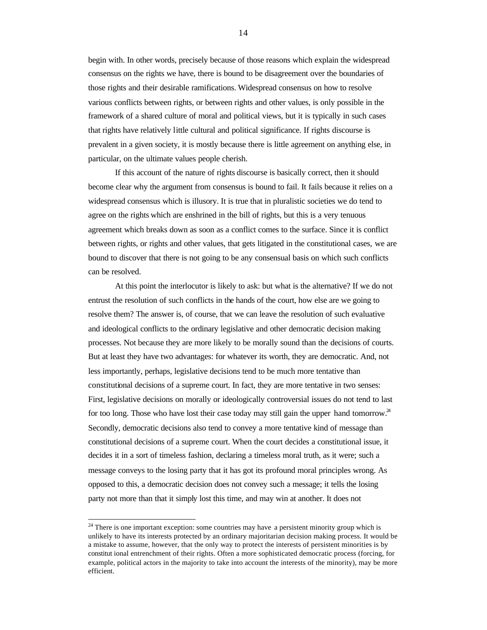begin with. In other words, precisely because of those reasons which explain the widespread consensus on the rights we have, there is bound to be disagreement over the boundaries of those rights and their desirable ramifications. Widespread consensus on how to resolve various conflicts between rights, or between rights and other values, is only possible in the framework of a shared culture of moral and political views, but it is typically in such cases that rights have relatively little cultural and political significance. If rights discourse is prevalent in a given society, it is mostly because there is little agreement on anything else, in particular, on the ultimate values people cherish.

If this account of the nature of rights discourse is basically correct, then it should become clear why the argument from consensus is bound to fail. It fails because it relies on a widespread consensus which is illusory. It is true that in pluralistic societies we do tend to agree on the rights which are enshrined in the bill of rights, but this is a very tenuous agreement which breaks down as soon as a conflict comes to the surface. Since it is conflict between rights, or rights and other values, that gets litigated in the constitutional cases, we are bound to discover that there is not going to be any consensual basis on which such conflicts can be resolved.

At this point the interlocutor is likely to ask: but what is the alternative? If we do not entrust the resolution of such conflicts in the hands of the court, how else are we going to resolve them? The answer is, of course, that we can leave the resolution of such evaluative and ideological conflicts to the ordinary legislative and other democratic decision making processes. Not because they are more likely to be morally sound than the decisions of courts. But at least they have two advantages: for whatever its worth, they are democratic. And, not less importantly, perhaps, legislative decisions tend to be much more tentative than constitutional decisions of a supreme court. In fact, they are more tentative in two senses: First, legislative decisions on morally or ideologically controversial issues do not tend to last for too long. Those who have lost their case today may still gain the upper hand tomorrow.<sup>24</sup> Secondly, democratic decisions also tend to convey a more tentative kind of message than constitutional decisions of a supreme court. When the court decides a constitutional issue, it decides it in a sort of timeless fashion, declaring a timeless moral truth, as it were; such a message conveys to the losing party that it has got its profound moral principles wrong. As opposed to this, a democratic decision does not convey such a message; it tells the losing party not more than that it simply lost this time, and may win at another. It does not

 $\overline{a}$ 

<sup>&</sup>lt;sup>24</sup> There is one important exception: some countries may have a persistent minority group which is unlikely to have its interests protected by an ordinary majoritarian decision making process. It would be a mistake to assume, however, that the only way to protect the interests of persistent minorities is by constitut ional entrenchment of their rights. Often a more sophisticated democratic process (forcing, for example, political actors in the majority to take into account the interests of the minority), may be more efficient.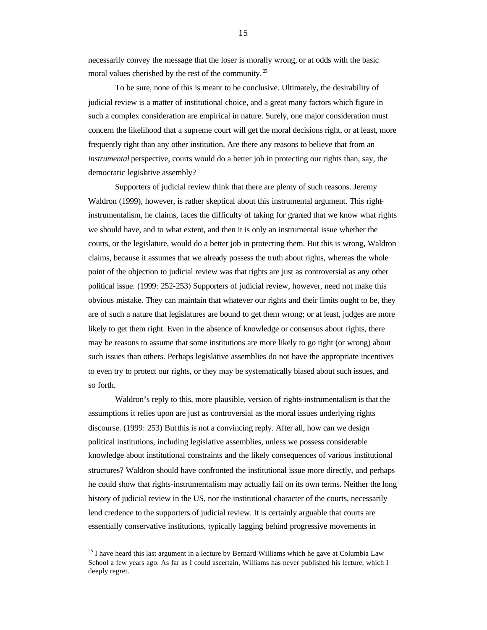necessarily convey the message that the loser is morally wrong, or at odds with the basic moral values cherished by the rest of the community.  $35$ 

To be sure, none of this is meant to be conclusive. Ultimately, the desirability of judicial review is a matter of institutional choice, and a great many factors which figure in such a complex consideration are empirical in nature. Surely, one major consideration must concern the likelihood that a supreme court will get the moral decisions right, or at least, more frequently right than any other institution. Are there any reasons to believe that from an *instrumental* perspective, courts would do a better job in protecting our rights than, say, the democratic legislative assembly?

Supporters of judicial review think that there are plenty of such reasons. Jeremy Waldron (1999), however, is rather skeptical about this instrumental argument. This rightinstrumentalism, he claims, faces the difficulty of taking for granted that we know what rights we should have, and to what extent, and then it is only an instrumental issue whether the courts, or the legislature, would do a better job in protecting them. But this is wrong, Waldron claims, because it assumes that we already possess the truth about rights, whereas the whole point of the objection to judicial review was that rights are just as controversial as any other political issue. (1999: 252-253) Supporters of judicial review, however, need not make this obvious mistake. They can maintain that whatever our rights and their limits ought to be, they are of such a nature that legislatures are bound to get them wrong; or at least, judges are more likely to get them right. Even in the absence of knowledge or consensus about rights, there may be reasons to assume that some institutions are more likely to go right (or wrong) about such issues than others. Perhaps legislative assemblies do not have the appropriate incentives to even try to protect our rights, or they may be systematically biased about such issues, and so forth.

Waldron's reply to this, more plausible, version of rights-instrumentalism is that the assumptions it relies upon are just as controversial as the moral issues underlying rights discourse. (1999: 253) But this is not a convincing reply. After all, how can we design political institutions, including legislative assemblies, unless we possess considerable knowledge about institutional constraints and the likely consequences of various institutional structures? Waldron should have confronted the institutional issue more directly, and perhaps he could show that rights-instrumentalism may actually fail on its own terms. Neither the long history of judicial review in the US, nor the institutional character of the courts, necessarily lend credence to the supporters of judicial review. It is certainly arguable that courts are essentially conservative institutions, typically lagging behind progressive movements in

 $\overline{\phantom{a}}$ 

 $25$  I have heard this last argument in a lecture by Bernard Williams which he gave at Columbia Law School a few years ago. As far as I could ascertain, Williams has never published his lecture, which I deeply regret.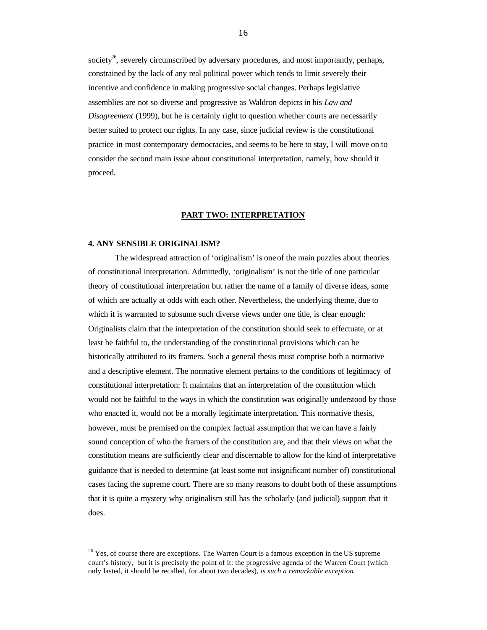society<sup>26</sup>, severely circumscribed by adversary procedures, and most importantly, perhaps, constrained by the lack of any real political power which tends to limit severely their incentive and confidence in making progressive social changes. Perhaps legislative assemblies are not so diverse and progressive as Waldron depicts in his *Law and Disagreement* (1999), but he is certainly right to question whether courts are necessarily better suited to protect our rights. In any case, since judicial review is the constitutional practice in most contemporary democracies, and seems to be here to stay, I will move on to consider the second main issue about constitutional interpretation, namely, how should it proceed.

# **PART TWO: INTERPRETATION**

#### **4. ANY SENSIBLE ORIGINALISM?**

 $\overline{\phantom{a}}$ 

The widespread attraction of 'originalism' is one of the main puzzles about theories of constitutional interpretation. Admittedly, 'originalism' is not the title of one particular theory of constitutional interpretation but rather the name of a family of diverse ideas, some of which are actually at odds with each other. Nevertheless, the underlying theme, due to which it is warranted to subsume such diverse views under one title, is clear enough: Originalists claim that the interpretation of the constitution should seek to effectuate, or at least be faithful to, the understanding of the constitutional provisions which can be historically attributed to its framers. Such a general thesis must comprise both a normative and a descriptive element. The normative element pertains to the conditions of legitimacy of constitutional interpretation: It maintains that an interpretation of the constitution which would not be faithful to the ways in which the constitution was originally understood by those who enacted it, would not be a morally legitimate interpretation. This normative thesis, however, must be premised on the complex factual assumption that we can have a fairly sound conception of who the framers of the constitution are, and that their views on what the constitution means are sufficiently clear and discernable to allow for the kind of interpretative guidance that is needed to determine (at least some not insignificant number of) constitutional cases facing the supreme court. There are so many reasons to doubt both of these assumptions that it is quite a mystery why originalism still has the scholarly (and judicial) support that it does.

 $26$  Yes, of course there are exceptions. The Warren Court is a famous exception in the US supreme court's history, but it is precisely the point of it: the progressive agenda of the Warren Court (which only lasted, it should be recalled, for about two decades), *is such a remarkable exception*.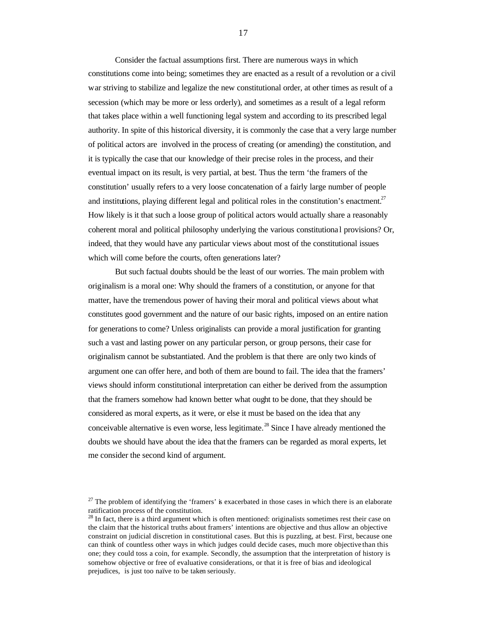Consider the factual assumptions first. There are numerous ways in which constitutions come into being; sometimes they are enacted as a result of a revolution or a civil war striving to stabilize and legalize the new constitutional order, at other times as result of a secession (which may be more or less orderly), and sometimes as a result of a legal reform that takes place within a well functioning legal system and according to its prescribed legal authority. In spite of this historical diversity, it is commonly the case that a very large number of political actors are involved in the process of creating (or amending) the constitution, and it is typically the case that our knowledge of their precise roles in the process, and their eventual impact on its result, is very partial, at best. Thus the term 'the framers of the constitution' usually refers to a very loose concatenation of a fairly large number of people and institutions, playing different legal and political roles in the constitution's enactment.<sup>27</sup> How likely is it that such a loose group of political actors would actually share a reasonably coherent moral and political philosophy underlying the various constitutiona l provisions? Or, indeed, that they would have any particular views about most of the constitutional issues which will come before the courts, often generations later?

But such factual doubts should be the least of our worries. The main problem with originalism is a moral one: Why should the framers of a constitution, or anyone for that matter, have the tremendous power of having their moral and political views about what constitutes good government and the nature of our basic rights, imposed on an entire nation for generations to come? Unless originalists can provide a moral justification for granting such a vast and lasting power on any particular person, or group persons, their case for originalism cannot be substantiated. And the problem is that there are only two kinds of argument one can offer here, and both of them are bound to fail. The idea that the framers' views should inform constitutional interpretation can either be derived from the assumption that the framers somehow had known better what ought to be done, that they should be considered as moral experts, as it were, or else it must be based on the idea that any conceivable alternative is even worse, less legitimate.<sup>28</sup> Since I have already mentioned the doubts we should have about the idea that the framers can be regarded as moral experts, let me consider the second kind of argument.

 $27$  The problem of identifying the 'framers' is exacerbated in those cases in which there is an elaborate ratification process of the constitution.

<sup>&</sup>lt;sup>28</sup> In fact, there is a third argument which is often mentioned: originalists sometimes rest their case on the claim that the historical truths about framers' intentions are objective and thus allow an objective constraint on judicial discretion in constitutional cases. But this is puzzling, at best. First, because one can think of countless other ways in which judges could decide cases, much more objective than this one; they could toss a coin, for example. Secondly, the assumption that the interpretation of history is somehow objective or free of evaluative considerations, or that it is free of bias and ideological prejudices, is just too naïve to be taken seriously.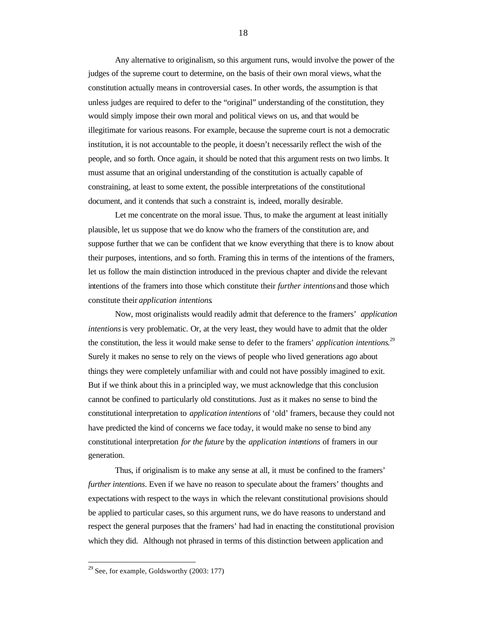Any alternative to originalism, so this argument runs, would involve the power of the judges of the supreme court to determine, on the basis of their own moral views, what the constitution actually means in controversial cases. In other words, the assumption is that unless judges are required to defer to the "original" understanding of the constitution, they would simply impose their own moral and political views on us, and that would be illegitimate for various reasons. For example, because the supreme court is not a democratic institution, it is not accountable to the people, it doesn't necessarily reflect the wish of the people, and so forth. Once again, it should be noted that this argument rests on two limbs. It must assume that an original understanding of the constitution is actually capable of constraining, at least to some extent, the possible interpretations of the constitutional document, and it contends that such a constraint is, indeed, morally desirable.

Let me concentrate on the moral issue. Thus, to make the argument at least initially plausible, let us suppose that we do know who the framers of the constitution are, and suppose further that we can be confident that we know everything that there is to know about their purposes, intentions, and so forth. Framing this in terms of the intentions of the framers, let us follow the main distinction introduced in the previous chapter and divide the relevant intentions of the framers into those which constitute their *further intentions* and those which constitute their *application intentions*.

Now, most originalists would readily admit that deference to the framers' *application intentions* is very problematic. Or, at the very least, they would have to admit that the older the constitution, the less it would make sense to defer to the framers' *application intentions*. 29 Surely it makes no sense to rely on the views of people who lived generations ago about things they were completely unfamiliar with and could not have possibly imagined to exit. But if we think about this in a principled way, we must acknowledge that this conclusion cannot be confined to particularly old constitutions. Just as it makes no sense to bind the constitutional interpretation to *application intentions* of 'old' framers, because they could not have predicted the kind of concerns we face today, it would make no sense to bind any constitutional interpretation *for the future* by the *application intentions* of framers in our generation.

Thus, if originalism is to make any sense at all, it must be confined to the framers' *further intentions*. Even if we have no reason to speculate about the framers' thoughts and expectations with respect to the ways in which the relevant constitutional provisions should be applied to particular cases, so this argument runs, we do have reasons to understand and respect the general purposes that the framers' had had in enacting the constitutional provision which they did. Although not phrased in terms of this distinction between application and

 $\overline{\phantom{a}}$ 

 $29$  See, for example, Goldsworthy (2003: 177)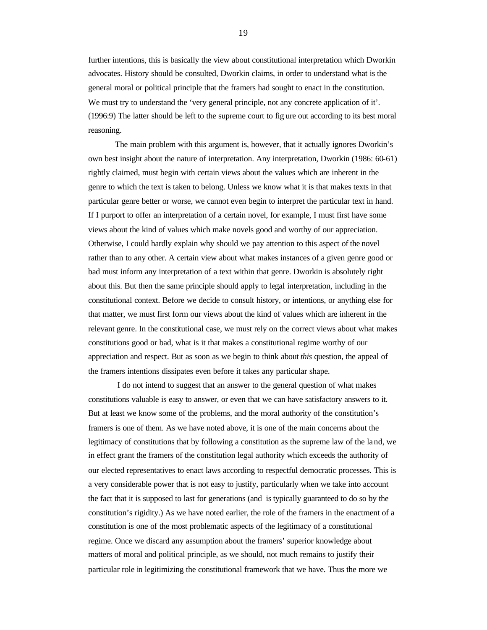further intentions, this is basically the view about constitutional interpretation which Dworkin advocates. History should be consulted, Dworkin claims, in order to understand what is the general moral or political principle that the framers had sought to enact in the constitution. We must try to understand the 'very general principle, not any concrete application of it'. (1996:9) The latter should be left to the supreme court to fig ure out according to its best moral reasoning.

The main problem with this argument is, however, that it actually ignores Dworkin's own best insight about the nature of interpretation. Any interpretation, Dworkin (1986: 60-61) rightly claimed, must begin with certain views about the values which are inherent in the genre to which the text is taken to belong. Unless we know what it is that makes texts in that particular genre better or worse, we cannot even begin to interpret the particular text in hand. If I purport to offer an interpretation of a certain novel, for example, I must first have some views about the kind of values which make novels good and worthy of our appreciation. Otherwise, I could hardly explain why should we pay attention to this aspect of the novel rather than to any other. A certain view about what makes instances of a given genre good or bad must inform any interpretation of a text within that genre. Dworkin is absolutely right about this. But then the same principle should apply to legal interpretation, including in the constitutional context. Before we decide to consult history, or intentions, or anything else for that matter, we must first form our views about the kind of values which are inherent in the relevant genre. In the constitutional case, we must rely on the correct views about what makes constitutions good or bad, what is it that makes a constitutional regime worthy of our appreciation and respect. But as soon as we begin to think about *this* question, the appeal of the framers intentions dissipates even before it takes any particular shape.

 I do not intend to suggest that an answer to the general question of what makes constitutions valuable is easy to answer, or even that we can have satisfactory answers to it. But at least we know some of the problems, and the moral authority of the constitution's framers is one of them. As we have noted above, it is one of the main concerns about the legitimacy of constitutions that by following a constitution as the supreme law of the land, we in effect grant the framers of the constitution legal authority which exceeds the authority of our elected representatives to enact laws according to respectful democratic processes. This is a very considerable power that is not easy to justify, particularly when we take into account the fact that it is supposed to last for generations (and is typically guaranteed to do so by the constitution's rigidity.) As we have noted earlier, the role of the framers in the enactment of a constitution is one of the most problematic aspects of the legitimacy of a constitutional regime. Once we discard any assumption about the framers' superior knowledge about matters of moral and political principle, as we should, not much remains to justify their particular role in legitimizing the constitutional framework that we have. Thus the more we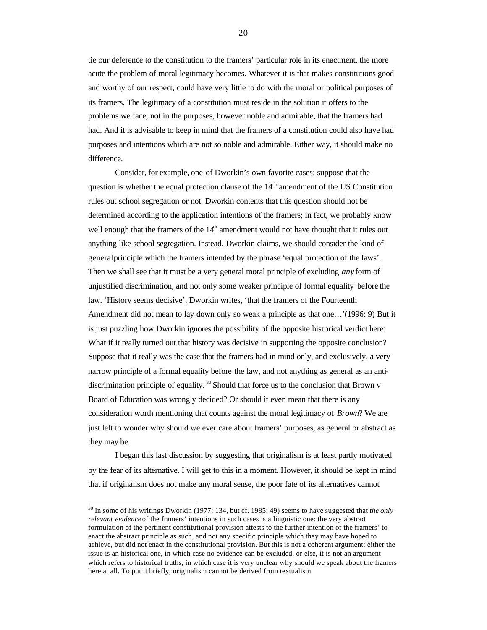tie our deference to the constitution to the framers' particular role in its enactment, the more acute the problem of moral legitimacy becomes. Whatever it is that makes constitutions good and worthy of our respect, could have very little to do with the moral or political purposes of its framers. The legitimacy of a constitution must reside in the solution it offers to the problems we face, not in the purposes, however noble and admirable, that the framers had had. And it is advisable to keep in mind that the framers of a constitution could also have had purposes and intentions which are not so noble and admirable. Either way, it should make no difference.

Consider, for example, one of Dworkin's own favorite cases: suppose that the question is whether the equal protection clause of the  $14<sup>th</sup>$  amendment of the US Constitution rules out school segregation or not. Dworkin contents that this question should not be determined according to the application intentions of the framers; in fact, we probably know well enough that the framers of the  $14<sup>th</sup>$  amendment would not have thought that it rules out anything like school segregation. Instead, Dworkin claims, we should consider the kind of general principle which the framers intended by the phrase 'equal protection of the laws'. Then we shall see that it must be a very general moral principle of excluding *any* form of unjustified discrimination, and not only some weaker principle of formal equality before the law. 'History seems decisive', Dworkin writes, 'that the framers of the Fourteenth Amendment did not mean to lay down only so weak a principle as that one…'(1996: 9) But it is just puzzling how Dworkin ignores the possibility of the opposite historical verdict here: What if it really turned out that history was decisive in supporting the opposite conclusion? Suppose that it really was the case that the framers had in mind only, and exclusively, a very narrow principle of a formal equality before the law, and not anything as general as an antidiscrimination principle of equality. <sup>30</sup> Should that force us to the conclusion that Brown v Board of Education was wrongly decided? Or should it even mean that there is any consideration worth mentioning that counts against the moral legitimacy of *Brown*? We are just left to wonder why should we ever care about framers' purposes, as general or abstract as they may be.

I began this last discussion by suggesting that originalism is at least partly motivated by the fear of its alternative. I will get to this in a moment. However, it should be kept in mind that if originalism does not make any moral sense, the poor fate of its alternatives cannot

 $\overline{a}$ 

<sup>30</sup> In some of his writings Dworkin (1977: 134, but cf. 1985: 49) seems to have suggested that *the only relevant evidence* of the framers' intentions in such cases is a linguistic one: the very abstract formulation of the pertinent constitutional provision attests to the further intention of the framers' to enact the abstract principle as such, and not any specific principle which they may have hoped to achieve, but did not enact in the constitutional provision. But this is not a coherent argument: either the issue is an historical one, in which case no evidence can be excluded, or else, it is not an argument which refers to historical truths, in which case it is very unclear why should we speak about the framers here at all. To put it briefly, originalism cannot be derived from textualism.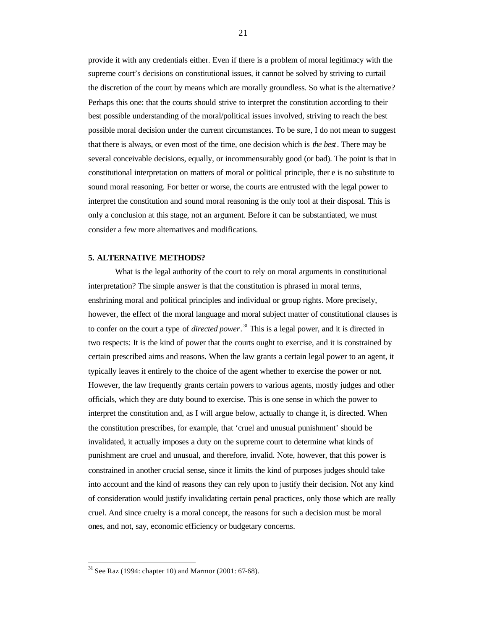provide it with any credentials either. Even if there is a problem of moral legitimacy with the supreme court's decisions on constitutional issues, it cannot be solved by striving to curtail the discretion of the court by means which are morally groundless. So what is the alternative? Perhaps this one: that the courts should strive to interpret the constitution according to their best possible understanding of the moral/political issues involved, striving to reach the best possible moral decision under the current circumstances. To be sure, I do not mean to suggest that there is always, or even most of the time, one decision which is *the best*. There may be several conceivable decisions, equally, or incommensurably good (or bad). The point is that in constitutional interpretation on matters of moral or political principle, ther e is no substitute to sound moral reasoning. For better or worse, the courts are entrusted with the legal power to interpret the constitution and sound moral reasoning is the only tool at their disposal. This is only a conclusion at this stage, not an argument. Before it can be substantiated, we must consider a few more alternatives and modifications.

### **5. ALTERNATIVE METHODS?**

What is the legal authority of the court to rely on moral arguments in constitutional interpretation? The simple answer is that the constitution is phrased in moral terms, enshrining moral and political principles and individual or group rights. More precisely, however, the effect of the moral language and moral subject matter of constitutional clauses is to confer on the court a type of *directed power*. <sup>31</sup> This is a legal power, and it is directed in two respects: It is the kind of power that the courts ought to exercise, and it is constrained by certain prescribed aims and reasons. When the law grants a certain legal power to an agent, it typically leaves it entirely to the choice of the agent whether to exercise the power or not. However, the law frequently grants certain powers to various agents, mostly judges and other officials, which they are duty bound to exercise. This is one sense in which the power to interpret the constitution and, as I will argue below, actually to change it, is directed. When the constitution prescribes, for example, that 'cruel and unusual punishment' should be invalidated, it actually imposes a duty on the supreme court to determine what kinds of punishment are cruel and unusual, and therefore, invalid. Note, however, that this power is constrained in another crucial sense, since it limits the kind of purposes judges should take into account and the kind of reasons they can rely upon to justify their decision. Not any kind of consideration would justify invalidating certain penal practices, only those which are really cruel. And since cruelty is a moral concept, the reasons for such a decision must be moral ones, and not, say, economic efficiency or budgetary concerns.

 $\overline{\phantom{a}}$ 

 $31$  See Raz (1994: chapter 10) and Marmor (2001: 67-68).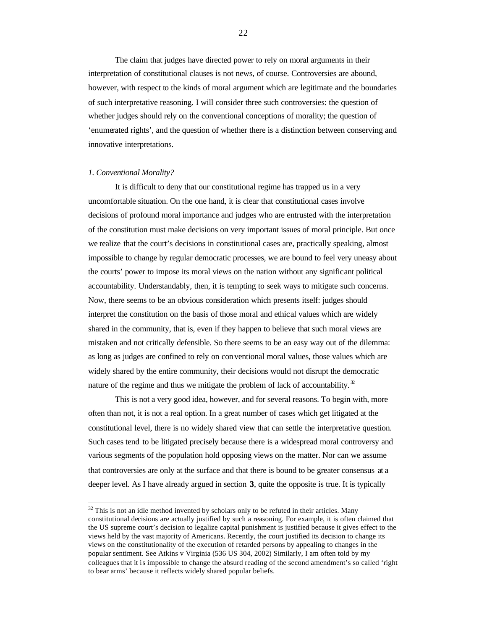The claim that judges have directed power to rely on moral arguments in their interpretation of constitutional clauses is not news, of course. Controversies are abound, however, with respect to the kinds of moral argument which are legitimate and the boundaries of such interpretative reasoning. I will consider three such controversies: the question of whether judges should rely on the conventional conceptions of morality; the question of 'enumerated rights', and the question of whether there is a distinction between conserving and innovative interpretations.

#### *1. Conventional Morality?*

 $\overline{a}$ 

It is difficult to deny that our constitutional regime has trapped us in a very uncomfortable situation. On the one hand, it is clear that constitutional cases involve decisions of profound moral importance and judges who are entrusted with the interpretation of the constitution must make decisions on very important issues of moral principle. But once we realize that the court's decisions in constitutional cases are, practically speaking, almost impossible to change by regular democratic processes, we are bound to feel very uneasy about the courts' power to impose its moral views on the nation without any significant political accountability. Understandably, then, it is tempting to seek ways to mitigate such concerns. Now, there seems to be an obvious consideration which presents itself: judges should interpret the constitution on the basis of those moral and ethical values which are widely shared in the community, that is, even if they happen to believe that such moral views are mistaken and not critically defensible. So there seems to be an easy way out of the dilemma: as long as judges are confined to rely on conventional moral values, those values which are widely shared by the entire community, their decisions would not disrupt the democratic nature of the regime and thus we mitigate the problem of lack of accountability.  $\mathbb{R}^2$ 

This is not a very good idea, however, and for several reasons. To begin with, more often than not, it is not a real option. In a great number of cases which get litigated at the constitutional level, there is no widely shared view that can settle the interpretative question. Such cases tend to be litigated precisely because there is a widespread moral controversy and various segments of the population hold opposing views on the matter. Nor can we assume that controversies are only at the surface and that there is bound to be greater consensus at a deeper level. As I have already argued in section **3**, quite the opposite is true. It is typically

 $32$  This is not an idle method invented by scholars only to be refuted in their articles. Many constitutional decisions are actually justified by such a reasoning. For example, it is often claimed that the US supreme court's decision to legalize capital punishment is justified because it gives effect to the views held by the vast majority of Americans. Recently, the court justified its decision to change its views on the constitutionality of the execution of retarded persons by appealing to changes in the popular sentiment. See Atkins v Virginia (536 US 304, 2002) Similarly, I am often told by my colleagues that it is impossible to change the absurd reading of the second amendment's so called 'right to bear arms' because it reflects widely shared popular beliefs.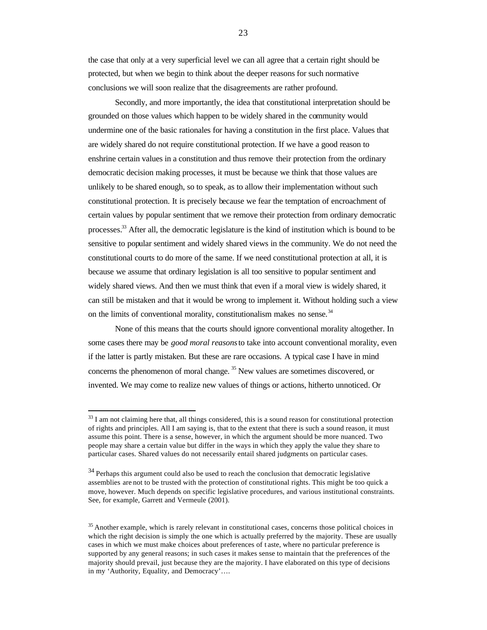the case that only at a very superficial level we can all agree that a certain right should be protected, but when we begin to think about the deeper reasons for such normative conclusions we will soon realize that the disagreements are rather profound.

Secondly, and more importantly, the idea that constitutional interpretation should be grounded on those values which happen to be widely shared in the community would undermine one of the basic rationales for having a constitution in the first place. Values that are widely shared do not require constitutional protection. If we have a good reason to enshrine certain values in a constitution and thus remove their protection from the ordinary democratic decision making processes, it must be because we think that those values are unlikely to be shared enough, so to speak, as to allow their implementation without such constitutional protection. It is precisely because we fear the temptation of encroachment of certain values by popular sentiment that we remove their protection from ordinary democratic processes.<sup>33</sup> After all, the democratic legislature is the kind of institution which is bound to be sensitive to popular sentiment and widely shared views in the community. We do not need the constitutional courts to do more of the same. If we need constitutional protection at all, it is because we assume that ordinary legislation is all too sensitive to popular sentiment and widely shared views. And then we must think that even if a moral view is widely shared, it can still be mistaken and that it would be wrong to implement it. Without holding such a view on the limits of conventional morality, constitutionalism makes no sense.<sup>34</sup>

None of this means that the courts should ignore conventional morality altogether. In some cases there may be *good moral reasons* to take into account conventional morality, even if the latter is partly mistaken. But these are rare occasions. A typical case I have in mind concerns the phenomenon of moral change.<sup>35</sup> New values are sometimes discovered, or invented. We may come to realize new values of things or actions, hitherto unnoticed. Or

l

<sup>&</sup>lt;sup>33</sup> I am not claiming here that, all things considered, this is a sound reason for constitutional protection of rights and principles. All I am saying is, that to the extent that there is such a sound reason, it must assume this point. There is a sense, however, in which the argument should be more nuanced. Two people may share a certain value but differ in the ways in which they apply the value they share to particular cases. Shared values do not necessarily entail shared judgments on particular cases.

 $34$  Perhaps this argument could also be used to reach the conclusion that democratic legislative assemblies are not to be trusted with the protection of constitutional rights. This might be too quick a move, however. Much depends on specific legislative procedures, and various institutional constraints. See, for example, Garrett and Vermeule (2001).

<sup>&</sup>lt;sup>35</sup> Another example, which is rarely relevant in constitutional cases, concerns those political choices in which the right decision is simply the one which is actually preferred by the majority. These are usually cases in which we must make choices about preferences of t aste, where no particular preference is supported by any general reasons; in such cases it makes sense to maintain that the preferences of the majority should prevail, just because they are the majority. I have elaborated on this type of decisions in my 'Authority, Equality, and Democracy'….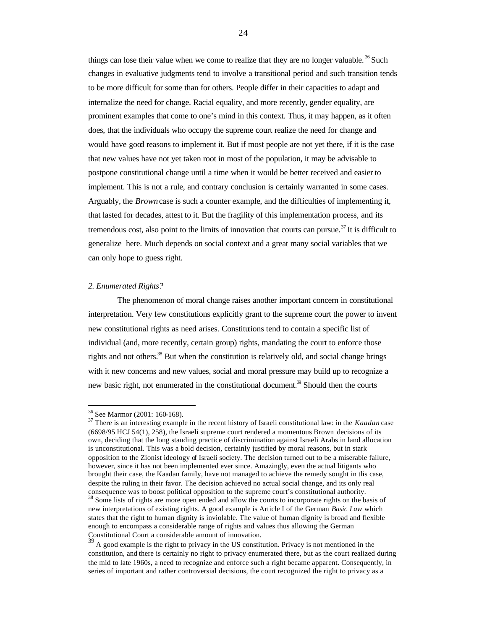things can lose their value when we come to realize that they are no longer valuable.  $36$  Such changes in evaluative judgments tend to involve a transitional period and such transition tends to be more difficult for some than for others. People differ in their capacities to adapt and internalize the need for change. Racial equality, and more recently, gender equality, are prominent examples that come to one's mind in this context. Thus, it may happen, as it often does, that the individuals who occupy the supreme court realize the need for change and would have good reasons to implement it. But if most people are not yet there, if it is the case that new values have not yet taken root in most of the population, it may be advisable to postpone constitutional change until a time when it would be better received and easier to implement. This is not a rule, and contrary conclusion is certainly warranted in some cases. Arguably, the *Brown* case is such a counter example, and the difficulties of implementing it, that lasted for decades, attest to it. But the fragility of this implementation process, and its tremendous cost, also point to the limits of innovation that courts can pursue.<sup>37</sup> It is difficult to generalize here. Much depends on social context and a great many social variables that we can only hope to guess right.

#### *2. Enumerated Rights?*

 The phenomenon of moral change raises another important concern in constitutional interpretation. Very few constitutions explicitly grant to the supreme court the power to invent new constitutional rights as need arises. Constitutions tend to contain a specific list of individual (and, more recently, certain group) rights, mandating the court to enforce those rights and not others.<sup>38</sup> But when the constitution is relatively old, and social change brings with it new concerns and new values, social and moral pressure may build up to recognize a new basic right, not enumerated in the constitutional document.<sup>39</sup> Should then the courts

l

<sup>36</sup> See Marmor (2001: 160-168).

<sup>37</sup> There is an interesting example in the recent history of Israeli constitutional law: in the *Kaadan* case (6698/95 HCJ 54(1), 258), the Israeli supreme court rendered a momentous Brown decisions of its own, deciding that the long standing practice of discrimination against Israeli Arabs in land allocation is unconstitutional. This was a bold decision, certainly justified by moral reasons, but in stark opposition to the Zionist ideology of Israeli society. The decision turned out to be a miserable failure, however, since it has not been implemented ever since. Amazingly, even the actual litigants who brought their case, the Kaadan family, have not managed to achieve the remedy sought in this case, despite the ruling in their favor. The decision achieved no actual social change, and its only real consequence was to boost political opposition to the supreme court's constitutional authority. <sup>38</sup> Some lists of rights are more open ended and allow the courts to incorporate rights on the basis of new interpretations of existing rights. A good example is Article I of the German *Basic Law* which states that the right to human dignity is inviolable. The value of human dignity is broad and flexible enough to encompass a considerable range of rights and values thus allowing the German Constitutional Court a considerable amount of innovation.

 $\frac{39}{39}$  A good example is the right to privacy in the US constitution. Privacy is not mentioned in the constitution, and there is certainly no right to privacy enumerated there, but as the court realized during the mid to late 1960s, a need to recognize and enforce such a right became apparent. Consequently, in series of important and rather controversial decisions, the court recognized the right to privacy as a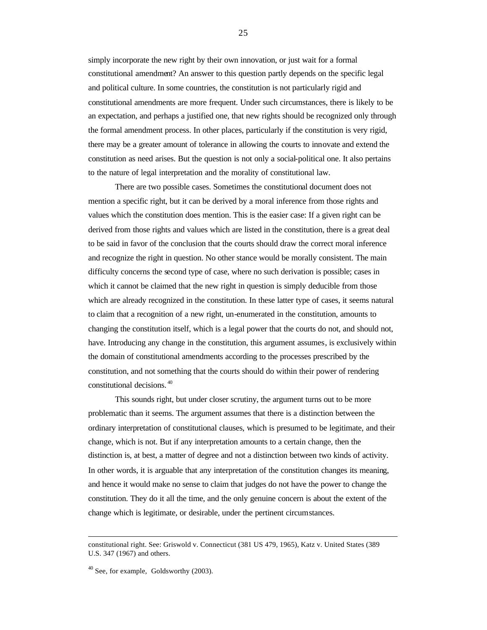simply incorporate the new right by their own innovation, or just wait for a formal constitutional amendment? An answer to this question partly depends on the specific legal and political culture. In some countries, the constitution is not particularly rigid and constitutional amendments are more frequent. Under such circumstances, there is likely to be an expectation, and perhaps a justified one, that new rights should be recognized only through the formal amendment process. In other places, particularly if the constitution is very rigid, there may be a greater amount of tolerance in allowing the courts to innovate and extend the constitution as need arises. But the question is not only a social-political one. It also pertains to the nature of legal interpretation and the morality of constitutional law.

There are two possible cases. Sometimes the constitutional document does not mention a specific right, but it can be derived by a moral inference from those rights and values which the constitution does mention. This is the easier case: If a given right can be derived from those rights and values which are listed in the constitution, there is a great deal to be said in favor of the conclusion that the courts should draw the correct moral inference and recognize the right in question. No other stance would be morally consistent. The main difficulty concerns the second type of case, where no such derivation is possible; cases in which it cannot be claimed that the new right in question is simply deducible from those which are already recognized in the constitution. In these latter type of cases, it seems natural to claim that a recognition of a new right, un-enumerated in the constitution, amounts to changing the constitution itself, which is a legal power that the courts do not, and should not, have. Introducing any change in the constitution, this argument assumes, is exclusively within the domain of constitutional amendments according to the processes prescribed by the constitution, and not something that the courts should do within their power of rendering constitutional decisions. <sup>40</sup>

This sounds right, but under closer scrutiny, the argument turns out to be more problematic than it seems. The argument assumes that there is a distinction between the ordinary interpretation of constitutional clauses, which is presumed to be legitimate, and their change, which is not. But if any interpretation amounts to a certain change, then the distinction is, at best, a matter of degree and not a distinction between two kinds of activity. In other words, it is arguable that any interpretation of the constitution changes its meaning, and hence it would make no sense to claim that judges do not have the power to change the constitution. They do it all the time, and the only genuine concern is about the extent of the change which is legitimate, or desirable, under the pertinent circumstances.

 $\overline{a}$ 

constitutional right. See: Griswold v. Connecticut (381 US 479, 1965), Katz v. United States (389 U.S. 347 (1967) and others.

 $40$  See, for example, Goldsworthy (2003).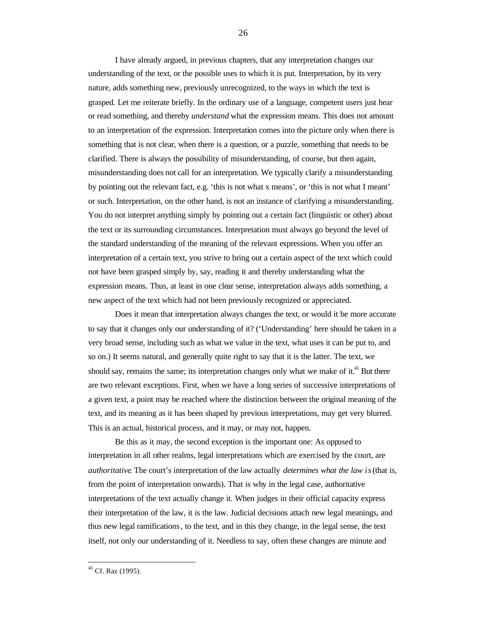I have already argued, in previous chapters, that any interpretation changes our understanding of the text, or the possible uses to which it is put. Interpretation, by its very nature, adds something new, previously unrecognized, to the ways in which the text is grasped. Let me reiterate briefly. In the ordinary use of a language, competent users just hear or read something, and thereby *understand* what the expression means. This does not amount to an interpretation of the expression. Interpretation comes into the picture only when there is something that is not clear, when there is a question, or a puzzle, something that needs to be clarified. There is always the possibility of misunderstanding, of course, but then again, misunderstanding does not call for an interpretation. We typically clarify a misunderstanding by pointing out the relevant fact, e.g. 'this is not what x means', or 'this is not what I meant' or such. Interpretation, on the other hand, is not an instance of clarifying a misunderstanding. You do not interpret anything simply by pointing out a certain fact (linguistic or other) about the text or its surrounding circumstances. Interpretation must always go beyond the level of the standard understanding of the meaning of the relevant expressions. When you offer an interpretation of a certain text, you strive to bring out a certain aspect of the text which could not have been grasped simply by, say, reading it and thereby understanding what the expression means. Thus, at least in one clear sense, interpretation always adds something, a new aspect of the text which had not been previously recognized or appreciated.

Does it mean that interpretation always changes the text, or would it be more accurate to say that it changes only our understanding of it? ('Understanding' here should be taken in a very broad sense, including such as what we value in the text, what uses it can be put to, and so on.) It seems natural, and generally quite right to say that it is the latter. The text, we should say, remains the same; its interpretation changes only what we make of it.<sup>41</sup> But there are two relevant exceptions. First, when we have a long series of successive interpretations of a given text, a point may be reached where the distinction between the original meaning of the text, and its meaning as it has been shaped by previous interpretations, may get very blurred. This is an actual, historical process, and it may, or may not, happen.

Be this as it may, the second exception is the important one: As opposed to interpretation in all other realms, legal interpretations which are exercised by the court, are *authoritative*. The court's interpretation of the law actually *determines what the law is* (that is, from the point of interpretation onwards). That is why in the legal case, authoritative interpretations of the text actually change it. When judges in their official capacity express their interpretation of the law, it is the law. Judicial decisions attach new legal meanings, and thus new legal ramifications, to the text, and in this they change, in the legal sense, the text itself, not only our understanding of it. Needless to say, often these changes are minute and

26

l

 $41$  Cf. Raz (1995).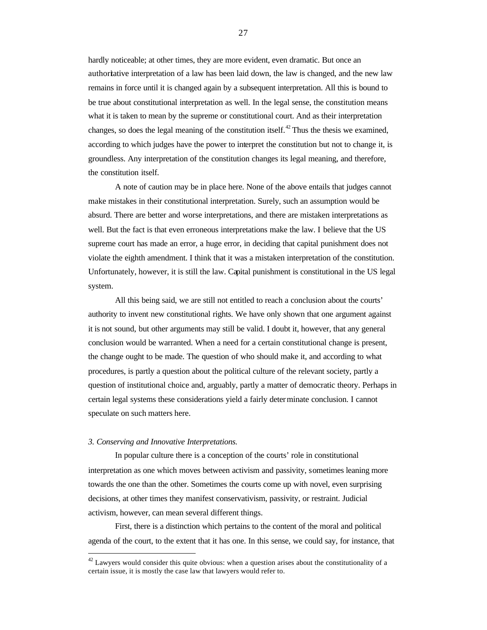hardly noticeable; at other times, they are more evident, even dramatic. But once an authoritative interpretation of a law has been laid down, the law is changed, and the new law remains in force until it is changed again by a subsequent interpretation. All this is bound to be true about constitutional interpretation as well. In the legal sense, the constitution means what it is taken to mean by the supreme or constitutional court. And as their interpretation changes, so does the legal meaning of the constitution itself.<sup>42</sup> Thus the thesis we examined, according to which judges have the power to interpret the constitution but not to change it, is groundless. Any interpretation of the constitution changes its legal meaning, and therefore, the constitution itself.

A note of caution may be in place here. None of the above entails that judges cannot make mistakes in their constitutional interpretation. Surely, such an assumption would be absurd. There are better and worse interpretations, and there are mistaken interpretations as well. But the fact is that even erroneous interpretations make the law. I believe that the US supreme court has made an error, a huge error, in deciding that capital punishment does not violate the eighth amendment. I think that it was a mistaken interpretation of the constitution. Unfortunately, however, it is still the law. Capital punishment is constitutional in the US legal system.

All this being said, we are still not entitled to reach a conclusion about the courts' authority to invent new constitutional rights. We have only shown that one argument against it is not sound, but other arguments may still be valid. I doubt it, however, that any general conclusion would be warranted. When a need for a certain constitutional change is present, the change ought to be made. The question of who should make it, and according to what procedures, is partly a question about the political culture of the relevant society, partly a question of institutional choice and, arguably, partly a matter of democratic theory. Perhaps in certain legal systems these considerations yield a fairly determinate conclusion. I cannot speculate on such matters here.

#### *3. Conserving and Innovative Interpretations.*

l

In popular culture there is a conception of the courts' role in constitutional interpretation as one which moves between activism and passivity, sometimes leaning more towards the one than the other. Sometimes the courts come up with novel, even surprising decisions, at other times they manifest conservativism, passivity, or restraint. Judicial activism, however, can mean several different things.

First, there is a distinction which pertains to the content of the moral and political agenda of the court, to the extent that it has one. In this sense, we could say, for instance, that

 $42$  Lawyers would consider this quite obvious: when a question arises about the constitutionality of a certain issue, it is mostly the case law that lawyers would refer to.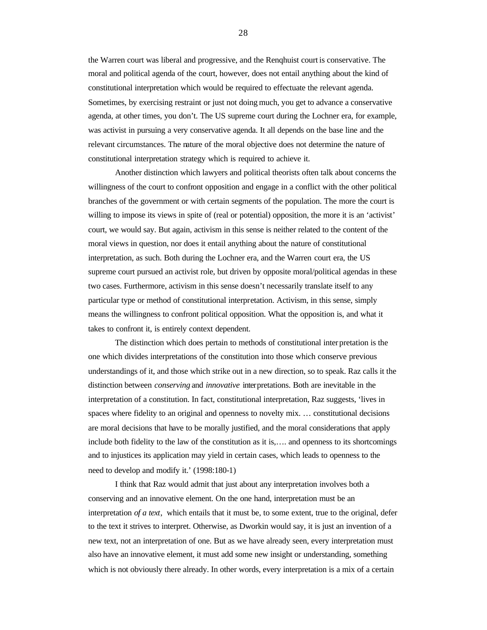the Warren court was liberal and progressive, and the Renqhuist court is conservative. The moral and political agenda of the court, however, does not entail anything about the kind of constitutional interpretation which would be required to effectuate the relevant agenda. Sometimes, by exercising restraint or just not doing much, you get to advance a conservative agenda, at other times, you don't. The US supreme court during the Lochner era, for example, was activist in pursuing a very conservative agenda. It all depends on the base line and the relevant circumstances. The nature of the moral objective does not determine the nature of constitutional interpretation strategy which is required to achieve it.

Another distinction which lawyers and political theorists often talk about concerns the willingness of the court to confront opposition and engage in a conflict with the other political branches of the government or with certain segments of the population. The more the court is willing to impose its views in spite of (real or potential) opposition, the more it is an 'activist' court, we would say. But again, activism in this sense is neither related to the content of the moral views in question, nor does it entail anything about the nature of constitutional interpretation, as such. Both during the Lochner era, and the Warren court era, the US supreme court pursued an activist role, but driven by opposite moral/political agendas in these two cases. Furthermore, activism in this sense doesn't necessarily translate itself to any particular type or method of constitutional interpretation. Activism, in this sense, simply means the willingness to confront political opposition. What the opposition is, and what it takes to confront it, is entirely context dependent.

The distinction which does pertain to methods of constitutional inter pretation is the one which divides interpretations of the constitution into those which conserve previous understandings of it, and those which strike out in a new direction, so to speak. Raz calls it the distinction between *conserving* and *innovative* interpretations. Both are inevitable in the interpretation of a constitution. In fact, constitutional interpretation, Raz suggests, 'lives in spaces where fidelity to an original and openness to novelty mix. … constitutional decisions are moral decisions that have to be morally justified, and the moral considerations that apply include both fidelity to the law of the constitution as it is,…. and openness to its shortcomings and to injustices its application may yield in certain cases, which leads to openness to the need to develop and modify it.' (1998:180-1)

I think that Raz would admit that just about any interpretation involves both a conserving and an innovative element. On the one hand, interpretation must be an interpretation *of a text*, which entails that it must be, to some extent, true to the original, defer to the text it strives to interpret. Otherwise, as Dworkin would say, it is just an invention of a new text, not an interpretation of one. But as we have already seen, every interpretation must also have an innovative element, it must add some new insight or understanding, something which is not obviously there already. In other words, every interpretation is a mix of a certain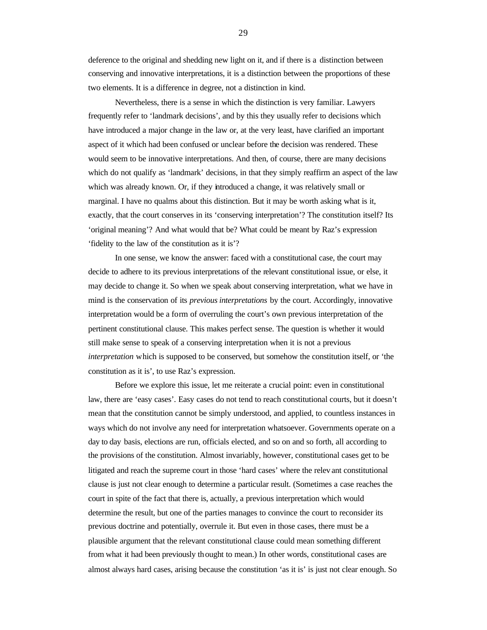deference to the original and shedding new light on it, and if there is a distinction between conserving and innovative interpretations, it is a distinction between the proportions of these two elements. It is a difference in degree, not a distinction in kind.

Nevertheless, there is a sense in which the distinction is very familiar. Lawyers frequently refer to 'landmark decisions', and by this they usually refer to decisions which have introduced a major change in the law or, at the very least, have clarified an important aspect of it which had been confused or unclear before the decision was rendered. These would seem to be innovative interpretations. And then, of course, there are many decisions which do not qualify as 'landmark' decisions, in that they simply reaffirm an aspect of the law which was already known. Or, if they introduced a change, it was relatively small or marginal. I have no qualms about this distinction. But it may be worth asking what is it, exactly, that the court conserves in its 'conserving interpretation'? The constitution itself? Its 'original meaning'? And what would that be? What could be meant by Raz's expression 'fidelity to the law of the constitution as it is'?

In one sense, we know the answer: faced with a constitutional case, the court may decide to adhere to its previous interpretations of the relevant constitutional issue, or else, it may decide to change it. So when we speak about conserving interpretation, what we have in mind is the conservation of its *previous interpretations* by the court. Accordingly, innovative interpretation would be a form of overruling the court's own previous interpretation of the pertinent constitutional clause. This makes perfect sense. The question is whether it would still make sense to speak of a conserving interpretation when it is not a previous *interpretation* which is supposed to be conserved, but somehow the constitution itself, or 'the constitution as it is', to use Raz's expression.

Before we explore this issue, let me reiterate a crucial point: even in constitutional law, there are 'easy cases'. Easy cases do not tend to reach constitutional courts, but it doesn't mean that the constitution cannot be simply understood, and applied, to countless instances in ways which do not involve any need for interpretation whatsoever. Governments operate on a day to day basis, elections are run, officials elected, and so on and so forth, all according to the provisions of the constitution. Almost invariably, however, constitutional cases get to be litigated and reach the supreme court in those 'hard cases' where the relev ant constitutional clause is just not clear enough to determine a particular result. (Sometimes a case reaches the court in spite of the fact that there is, actually, a previous interpretation which would determine the result, but one of the parties manages to convince the court to reconsider its previous doctrine and potentially, overrule it. But even in those cases, there must be a plausible argument that the relevant constitutional clause could mean something different from what it had been previously thought to mean.) In other words, constitutional cases are almost always hard cases, arising because the constitution 'as it is' is just not clear enough. So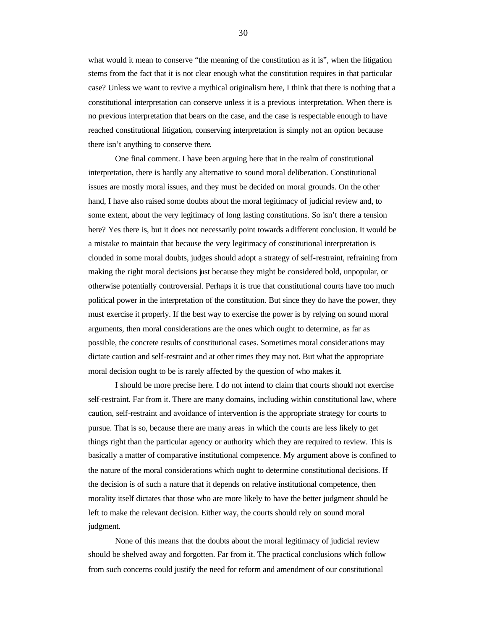what would it mean to conserve "the meaning of the constitution as it is", when the litigation stems from the fact that it is not clear enough what the constitution requires in that particular case? Unless we want to revive a mythical originalism here, I think that there is nothing that a constitutional interpretation can conserve unless it is a previous interpretation. When there is no previous interpretation that bears on the case, and the case is respectable enough to have reached constitutional litigation, conserving interpretation is simply not an option because there isn't anything to conserve there.

One final comment. I have been arguing here that in the realm of constitutional interpretation, there is hardly any alternative to sound moral deliberation. Constitutional issues are mostly moral issues, and they must be decided on moral grounds. On the other hand, I have also raised some doubts about the moral legitimacy of judicial review and, to some extent, about the very legitimacy of long lasting constitutions. So isn't there a tension here? Yes there is, but it does not necessarily point towards a different conclusion. It would be a mistake to maintain that because the very legitimacy of constitutional interpretation is clouded in some moral doubts, judges should adopt a strategy of self-restraint, refraining from making the right moral decisions just because they might be considered bold, unpopular, or otherwise potentially controversial. Perhaps it is true that constitutional courts have too much political power in the interpretation of the constitution. But since they do have the power, they must exercise it properly. If the best way to exercise the power is by relying on sound moral arguments, then moral considerations are the ones which ought to determine, as far as possible, the concrete results of constitutional cases. Sometimes moral consider ations may dictate caution and self-restraint and at other times they may not. But what the appropriate moral decision ought to be is rarely affected by the question of who makes it.

I should be more precise here. I do not intend to claim that courts should not exercise self-restraint. Far from it. There are many domains, including within constitutional law, where caution, self-restraint and avoidance of intervention is the appropriate strategy for courts to pursue. That is so, because there are many areas in which the courts are less likely to get things right than the particular agency or authority which they are required to review. This is basically a matter of comparative institutional competence. My argument above is confined to the nature of the moral considerations which ought to determine constitutional decisions. If the decision is of such a nature that it depends on relative institutional competence, then morality itself dictates that those who are more likely to have the better judgment should be left to make the relevant decision. Either way, the courts should rely on sound moral judgment.

None of this means that the doubts about the moral legitimacy of judicial review should be shelved away and forgotten. Far from it. The practical conclusions which follow from such concerns could justify the need for reform and amendment of our constitutional